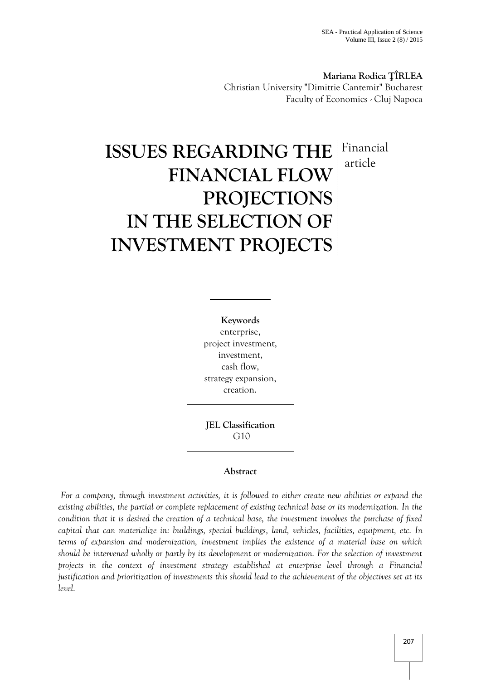**Mariana Rodica ÎRLEA** Christian University "Dimitrie Cantemir" Bucharest Faculty of Economics - Cluj Napoca

# **ISSUES REGARDING THE FINANCIAL FLOW PROJECTIONS IN THE SELECTION OF INVESTMENT PROJECTS** Financial article

**Keywords** enterprise, project investment, investment, cash flow, strategy expansion, creation.

**JEL Classification** G10

# **Abstract**

*For a company, through investment activities, it is followed to either create new abilities or expand the existing abilities, the partial or complete replacement of existing technical base or its modernization. In the condition that it is desired the creation of a technical base, the investment involves the purchase of fixed capital that can materialize in: buildings, special buildings, land, vehicles, facilities, equipment, etc. In terms of expansion and modernization, investment implies the existence of a material base on which should be intervened wholly or partly by its development or modernization. For the selection of investment projects in the context of investment strategy established at enterprise level through a Financial justification and prioritization of investments this should lead to the achievement of the objectives set at its level.*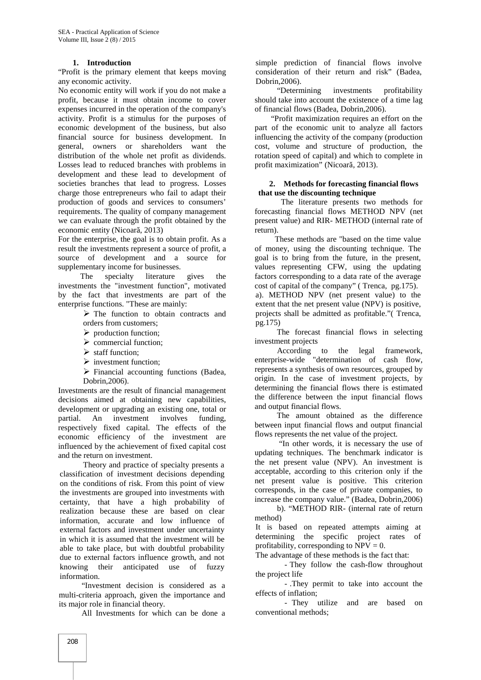# **1. Introduction**

"Profit is the primary element that keeps moving any economic activity.

No economic entity will work if you do not make a profit, because it must obtain income to cover expenses incurred in the operation of the company's activity. Profit is a stimulus for the purposes of economic development of the business, but also financial source for business development. In general, owners or shareholders want the distribution of the whole net profit as dividends. Losses lead to reduced branches with problems in development and these lead to development of societies branches that lead to progress. Losses charge those entrepreneurs who fail to adapt their production of goods and services to consumers' requirements. The quality of company management we can evaluate through the profit obtained by the economic entity (Nicoar, 2013)

For the enterprise, the goal is to obtain profit. As a result the investments represent a source of profit, a source of development and a source for supplementary income for businesses.

The specialty literature gives the investments the "investment function", motivated by the fact that investments are part of the enterprise functions. "These are mainly:

- $\triangleright$  The function to obtain contracts and orders from customers;
- $\triangleright$  production function;
- $\triangleright$  commercial function:
- $\triangleright$  staff function:
- $\triangleright$  investment function;
- Financial accounting functions (Badea, Dobrin,2006).

Investments are the result of financial management decisions aimed at obtaining new capabilities, development or upgrading an existing one, total or partial. An investment involves funding, respectively fixed capital. The effects of the economic efficiency of the investment are influenced by the achievement of fixed capital cost and the return on investment.

Theory and practice of specialty presents a classification of investment decisions depending on the conditions of risk. From this point of view the investments are grouped into investments with certainty, that have a high probability of realization because these are based on clear information, accurate and low influence of external factors and investment under uncertainty in which it is assumed that the investment will be able to take place, but with doubtful probability due to external factors influence growth, and not knowing their anticipated use of fuzzy information.

"Investment decision is considered as a multi-criteria approach, given the importance and its major role in financial theory.

All Investments for which can be done a

simple prediction of financial flows involve consideration of their return and risk" (Badea, Dobrin,2006).

"Determining investments profitability should take into account the existence of a time lag of financial flows (Badea, Dobrin,2006).

"Profit maximization requires an effort on the part of the economic unit to analyze all factors influencing the activity of the company (production cost, volume and structure of production, the rotation speed of capital) and which to complete in profit maximization" (Nicoar, 2013).

#### **2. Methods for forecasting financial flows that use the discounting technique**

The literature presents two methods for forecasting financial flows METHOD NPV (net present value) and RIR- METHOD (internal rate of return).

These methods are "based on the time value of money, using the discounting technique. The goal is to bring from the future, in the present, values representing CFW, using the updating factors corresponding to a data rate of the average cost of capital of the company" ( Trenca, pg.175).

a). METHOD NPV (net present value) to the extent that the net present value (NPV) is positive, projects shall be admitted as profitable."( Trenca, pg.175)

The forecast financial flows in selecting investment projects

According to the legal framework, enterprise-wide "determination of cash flow, represents a synthesis of own resources, grouped by origin. In the case of investment projects, by determining the financial flows there is estimated the difference between the input financial flows and output financial flows.

The amount obtained as the difference between input financial flows and output financial flows represents the net value of the project*.*

"In other words, it is necessary the use of updating techniques. The benchmark indicator is the net present value (NPV). An investment is acceptable, according to this criterion only if the net present value is positive. This criterion corresponds, in the case of private companies, to increase the company value." (Badea, Dobrin,2006)

b). "METHOD RIR- (internal rate of return method)

It is based on repeated attempts aiming at determining the specific project rates of profitability, corresponding to  $NPV = 0$ .

The advantage of these methods is the fact that:

- They follow the cash-flow throughout the project life

- .They permit to take into account the effects of inflation;

- They utilize and are based on conventional methods;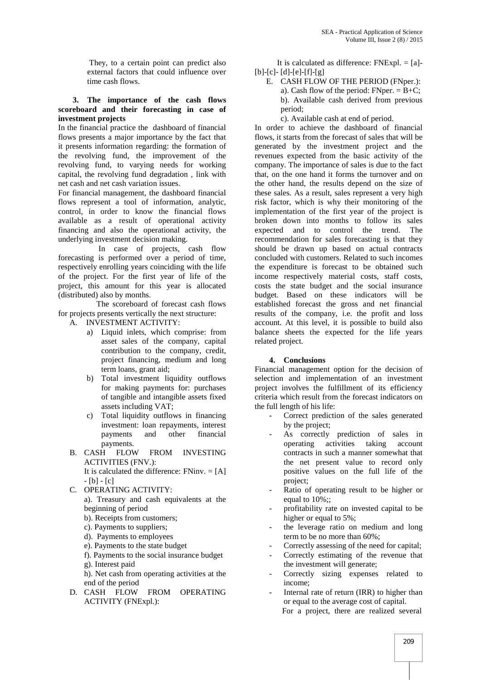They, to a certain point can predict also external factors that could influence over time cash flows.

# **3. The importance of the cash flows scoreboard and their forecasting in case of investment projects**

In the financial practice the dashboard of financial flows presents a major importance by the fact that it presents information regarding: the formation of the revolving fund, the improvement of the revolving fund, to varying needs for working capital, the revolving fund degradation , link with net cash and net cash variation issues.

For financial management, the dashboard financial flows represent a tool of information, analytic, control, in order to know the financial flows available as a result of operational activity financing and also the operational activity, the underlying investment decision making.

In case of projects, cash flow shou forecasting is performed over a period of time, respectively enrolling years coinciding with the life of the project. For the first year of life of the project, this amount for this year is allocated (distributed) also by months.

The scoreboard of forecast cash flows for projects presents vertically the next structure:

- A. INVESTMENT ACTIVITY:
	- a) Liquid inlets, which comprise: from asset sales of the company, capital contribution to the company, credit, project financing, medium and long term loans, grant aid;
	- b) Total investment liquidity outflows for making payments for: purchases of tangible and intangible assets fixed assets including VAT;
	- c) Total liquidity outflows in financing investment: loan repayments, interest payments and other financial payments.
- B. CASH FLOW FROM INVESTING ACTIVITIES (FNV.): It is calculated the difference:  $FNinv = [A]$ - [b] - [c]
- C. OPERATING ACTIVITY:

a). Treasury and cash equivalents at the beginning of period

- b). Receipts from customers;
- c). Payments to suppliers;
- d). Payments to employees
- e). Payments to the state budget
- f). Payments to the social insurance budget
- g). Interest paid

h). Net cash from operating activities at the end of the period

D. CASH FLOW FROM OPERATING ACTIVITY (FNExpl.):

It is calculated as difference: FNExpl. = [a]-  $[b]$ - $[c]$ - $[d]$ - $[e]$ - $[f]$ - $[g]$ 

E. CASH FLOW OF THE PERIOD (FNper.):

a). Cash flow of the period: FNper.  $= B+C$ ; b). Available cash derived from previous period;

c). Available cash at end of period.

In order to achieve the dashboard of financial flows, it starts from the forecast of sales that will be generated by the investment project and the revenues expected from the basic activity of the company. The importance of sales is due to the fact that, on the one hand it forms the turnover and on the other hand, the results depend on the size of these sales. As a result, sales represent a very high risk factor, which is why their monitoring of the implementation of the first year of the project is broken down into months to follow its sales expected and to control the trend. The recommendation for sales forecasting is that they should be drawn up based on actual contracts concluded with customers. Related to such incomes the expenditure is forecast to be obtained such income respectively material costs, staff costs, costs the state budget and the social insurance budget. Based on these indicators will be established forecast the gross and net financial results of the company, i.e. the profit and loss account. At this level, it is possible to build also balance sheets the expected for the life years related project.

# **4. Conclusions**

Financial management option for the decision of selection and implementation of an investment project involves the fulfillment of its efficiency criteria which result from the forecast indicators on the full length of his life:

- Correct prediction of the sales generated by the project;
- As correctly prediction of sales in operating activities taking account contracts in such a manner somewhat that the net present value to record only positive values on the full life of the project;
- Ratio of operating result to be higher or equal to 10%;;
- profitability rate on invested capital to be higher or equal to 5%;
- the leverage ratio on medium and long term to be no more than 60%;
- Correctly assessing of the need for capital;
- Correctly estimating of the revenue that the investment will generate;
- Correctly sizing expenses related to income;
- Internal rate of return (IRR) to higher than or equal to the average cost of capital. For a project, there are realized several